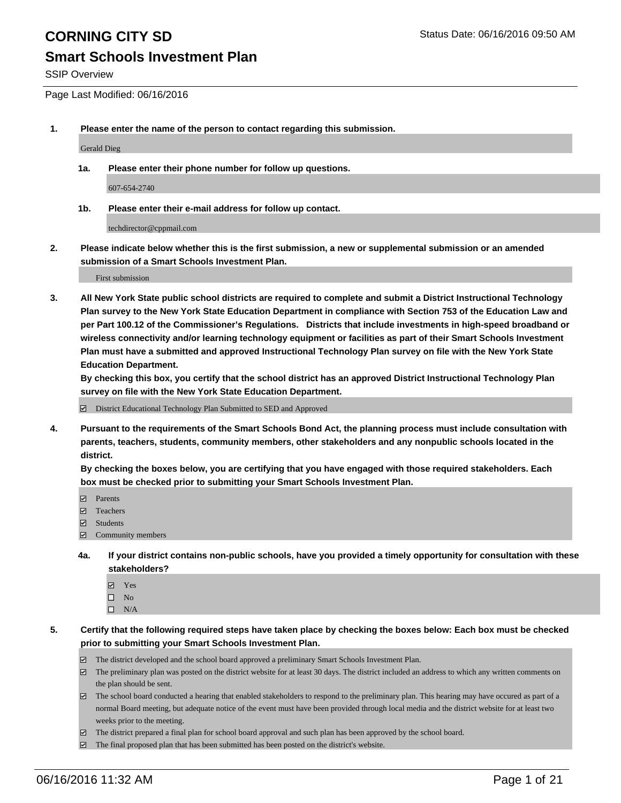### **Smart Schools Investment Plan**

SSIP Overview

Page Last Modified: 06/16/2016

**1. Please enter the name of the person to contact regarding this submission.**

Gerald Dieg

**1a. Please enter their phone number for follow up questions.**

607-654-2740

**1b. Please enter their e-mail address for follow up contact.**

techdirector@cppmail.com

**2. Please indicate below whether this is the first submission, a new or supplemental submission or an amended submission of a Smart Schools Investment Plan.**

First submission

**3. All New York State public school districts are required to complete and submit a District Instructional Technology Plan survey to the New York State Education Department in compliance with Section 753 of the Education Law and per Part 100.12 of the Commissioner's Regulations. Districts that include investments in high-speed broadband or wireless connectivity and/or learning technology equipment or facilities as part of their Smart Schools Investment Plan must have a submitted and approved Instructional Technology Plan survey on file with the New York State Education Department.** 

**By checking this box, you certify that the school district has an approved District Instructional Technology Plan survey on file with the New York State Education Department.**

District Educational Technology Plan Submitted to SED and Approved

**4. Pursuant to the requirements of the Smart Schools Bond Act, the planning process must include consultation with parents, teachers, students, community members, other stakeholders and any nonpublic schools located in the district.** 

**By checking the boxes below, you are certifying that you have engaged with those required stakeholders. Each box must be checked prior to submitting your Smart Schools Investment Plan.**

- **Parents**
- Teachers
- $\blacksquare$  Students
- Community members
- **4a. If your district contains non-public schools, have you provided a timely opportunity for consultation with these stakeholders?**
	- Yes  $\square$  No
	- $\square$  N/A
- **5. Certify that the following required steps have taken place by checking the boxes below: Each box must be checked prior to submitting your Smart Schools Investment Plan.**
	- The district developed and the school board approved a preliminary Smart Schools Investment Plan.
	- $\Box$  The preliminary plan was posted on the district website for at least 30 days. The district included an address to which any written comments on the plan should be sent.
	- $\Box$  The school board conducted a hearing that enabled stakeholders to respond to the preliminary plan. This hearing may have occured as part of a normal Board meeting, but adequate notice of the event must have been provided through local media and the district website for at least two weeks prior to the meeting.
	- The district prepared a final plan for school board approval and such plan has been approved by the school board.
	- $\boxdot$  The final proposed plan that has been submitted has been posted on the district's website.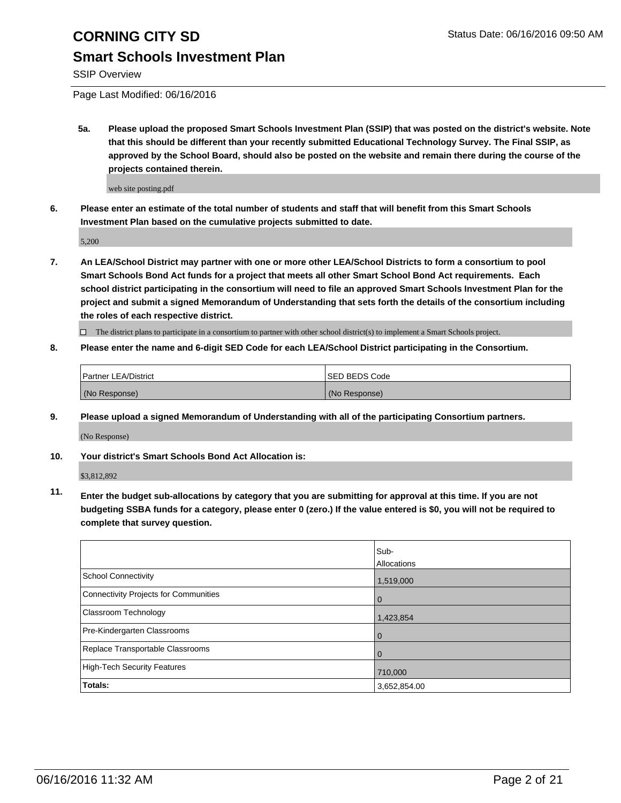## **Smart Schools Investment Plan**

SSIP Overview

Page Last Modified: 06/16/2016

**5a. Please upload the proposed Smart Schools Investment Plan (SSIP) that was posted on the district's website. Note that this should be different than your recently submitted Educational Technology Survey. The Final SSIP, as approved by the School Board, should also be posted on the website and remain there during the course of the projects contained therein.**

web site posting.pdf

**6. Please enter an estimate of the total number of students and staff that will benefit from this Smart Schools Investment Plan based on the cumulative projects submitted to date.**

5,200

**7. An LEA/School District may partner with one or more other LEA/School Districts to form a consortium to pool Smart Schools Bond Act funds for a project that meets all other Smart School Bond Act requirements. Each school district participating in the consortium will need to file an approved Smart Schools Investment Plan for the project and submit a signed Memorandum of Understanding that sets forth the details of the consortium including the roles of each respective district.**

 $\Box$  The district plans to participate in a consortium to partner with other school district(s) to implement a Smart Schools project.

**8. Please enter the name and 6-digit SED Code for each LEA/School District participating in the Consortium.**

| Partner LEA/District | ISED BEDS Code |
|----------------------|----------------|
| (No Response)        | (No Response)  |

**9. Please upload a signed Memorandum of Understanding with all of the participating Consortium partners.**

(No Response)

**10. Your district's Smart Schools Bond Act Allocation is:**

\$3,812,892

**11. Enter the budget sub-allocations by category that you are submitting for approval at this time. If you are not budgeting SSBA funds for a category, please enter 0 (zero.) If the value entered is \$0, you will not be required to complete that survey question.**

|                                       | Sub-         |
|---------------------------------------|--------------|
|                                       | Allocations  |
| School Connectivity                   | 1,519,000    |
| Connectivity Projects for Communities | 0            |
| Classroom Technology                  | 1,423,854    |
| Pre-Kindergarten Classrooms           | 0            |
| Replace Transportable Classrooms      |              |
| High-Tech Security Features           | 710,000      |
| Totals:                               | 3,652,854.00 |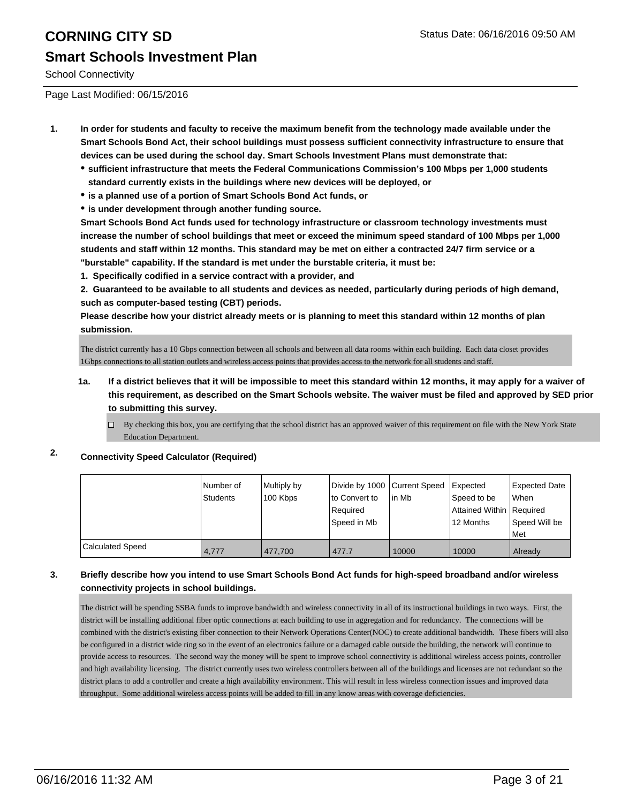# **CORNING CITY SD** Status Date: 06/16/2016 09:50 AM **Smart Schools Investment Plan**

School Connectivity

Page Last Modified: 06/15/2016

- **1. In order for students and faculty to receive the maximum benefit from the technology made available under the Smart Schools Bond Act, their school buildings must possess sufficient connectivity infrastructure to ensure that devices can be used during the school day. Smart Schools Investment Plans must demonstrate that:**
	- **sufficient infrastructure that meets the Federal Communications Commission's 100 Mbps per 1,000 students standard currently exists in the buildings where new devices will be deployed, or**
	- **is a planned use of a portion of Smart Schools Bond Act funds, or**
	- **is under development through another funding source.**

**Smart Schools Bond Act funds used for technology infrastructure or classroom technology investments must increase the number of school buildings that meet or exceed the minimum speed standard of 100 Mbps per 1,000 students and staff within 12 months. This standard may be met on either a contracted 24/7 firm service or a "burstable" capability. If the standard is met under the burstable criteria, it must be:**

**1. Specifically codified in a service contract with a provider, and**

**2. Guaranteed to be available to all students and devices as needed, particularly during periods of high demand, such as computer-based testing (CBT) periods.**

**Please describe how your district already meets or is planning to meet this standard within 12 months of plan submission.**

The district currently has a 10 Gbps connection between all schools and between all data rooms within each building. Each data closet provides 1Gbps connections to all station outlets and wireless access points that provides access to the network for all students and staff.

- **1a. If a district believes that it will be impossible to meet this standard within 12 months, it may apply for a waiver of this requirement, as described on the Smart Schools website. The waiver must be filed and approved by SED prior to submitting this survey.**
	- $\Box$  By checking this box, you are certifying that the school district has an approved waiver of this requirement on file with the New York State Education Department.

### **2. Connectivity Speed Calculator (Required)**

|                         | l Number of<br>Students | Multiply by<br>100 Kbps | Divide by 1000 Current Speed<br>lto Convert to<br>Required<br>Speed in Mb | lin Mb | Expected<br>Speed to be<br>Attained Within   Required<br>12 Months | <b>Expected Date</b><br>When<br>Speed Will be<br>Met |
|-------------------------|-------------------------|-------------------------|---------------------------------------------------------------------------|--------|--------------------------------------------------------------------|------------------------------------------------------|
| <b>Calculated Speed</b> | 4.777                   | 477.700                 | 477.7                                                                     | 10000  | 10000                                                              | Already                                              |

### **3. Briefly describe how you intend to use Smart Schools Bond Act funds for high-speed broadband and/or wireless connectivity projects in school buildings.**

The district will be spending SSBA funds to improve bandwidth and wireless connectivity in all of its instructional buildings in two ways. First, the district will be installing additional fiber optic connections at each building to use in aggregation and for redundancy. The connections will be combined with the district's existing fiber connection to their Network Operations Center(NOC) to create additional bandwidth. These fibers will also be configured in a district wide ring so in the event of an electronics failure or a damaged cable outside the building, the network will continue to provide access to resources. The second way the money will be spent to improve school connectivity is additional wireless access points, controller and high availability licensing. The district currently uses two wireless controllers between all of the buildings and licenses are not redundant so the district plans to add a controller and create a high availability environment. This will result in less wireless connection issues and improved data throughput. Some additional wireless access points will be added to fill in any know areas with coverage deficiencies.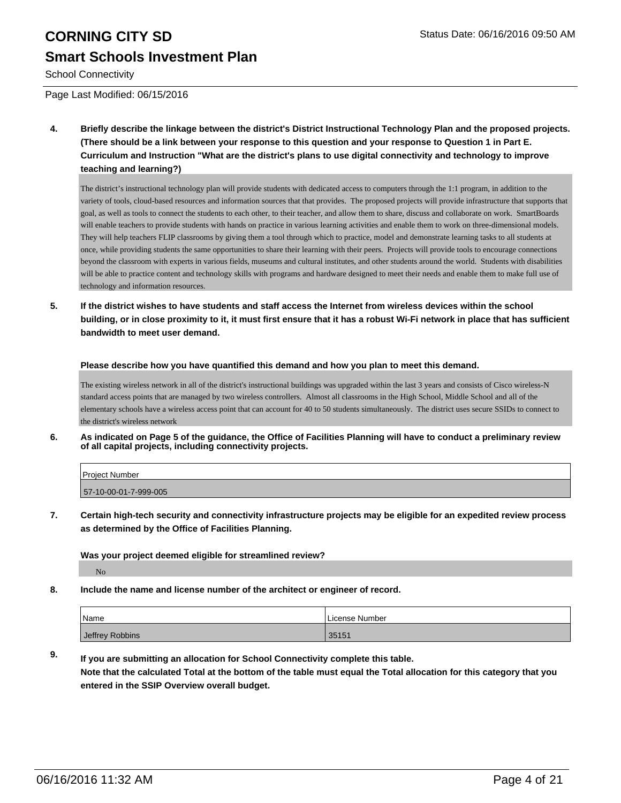# **CORNING CITY SD** Status Date: 06/16/2016 09:50 AM **Smart Schools Investment Plan**

School Connectivity

Page Last Modified: 06/15/2016

**4. Briefly describe the linkage between the district's District Instructional Technology Plan and the proposed projects. (There should be a link between your response to this question and your response to Question 1 in Part E. Curriculum and Instruction "What are the district's plans to use digital connectivity and technology to improve teaching and learning?)**

The district's instructional technology plan will provide students with dedicated access to computers through the 1:1 program, in addition to the variety of tools, cloud-based resources and information sources that that provides. The proposed projects will provide infrastructure that supports that goal, as well as tools to connect the students to each other, to their teacher, and allow them to share, discuss and collaborate on work. SmartBoards will enable teachers to provide students with hands on practice in various learning activities and enable them to work on three-dimensional models. They will help teachers FLIP classrooms by giving them a tool through which to practice, model and demonstrate learning tasks to all students at once, while providing students the same opportunities to share their learning with their peers. Projects will provide tools to encourage connections beyond the classroom with experts in various fields, museums and cultural institutes, and other students around the world. Students with disabilities will be able to practice content and technology skills with programs and hardware designed to meet their needs and enable them to make full use of technology and information resources.

**5. If the district wishes to have students and staff access the Internet from wireless devices within the school building, or in close proximity to it, it must first ensure that it has a robust Wi-Fi network in place that has sufficient bandwidth to meet user demand.**

**Please describe how you have quantified this demand and how you plan to meet this demand.**

The existing wireless network in all of the district's instructional buildings was upgraded within the last 3 years and consists of Cisco wireless-N standard access points that are managed by two wireless controllers. Almost all classrooms in the High School, Middle School and all of the elementary schools have a wireless access point that can account for 40 to 50 students simultaneously. The district uses secure SSIDs to connect to the district's wireless network

**6. As indicated on Page 5 of the guidance, the Office of Facilities Planning will have to conduct a preliminary review of all capital projects, including connectivity projects.**

| Project Number        |  |
|-----------------------|--|
| 57-10-00-01-7-999-005 |  |

**7. Certain high-tech security and connectivity infrastructure projects may be eligible for an expedited review process as determined by the Office of Facilities Planning.**

**Was your project deemed eligible for streamlined review?**

No

**8. Include the name and license number of the architect or engineer of record.**

| Name            | I License Number |
|-----------------|------------------|
| Jeffrey Robbins | 35151            |

**9. If you are submitting an allocation for School Connectivity complete this table. Note that the calculated Total at the bottom of the table must equal the Total allocation for this category that you entered in the SSIP Overview overall budget.**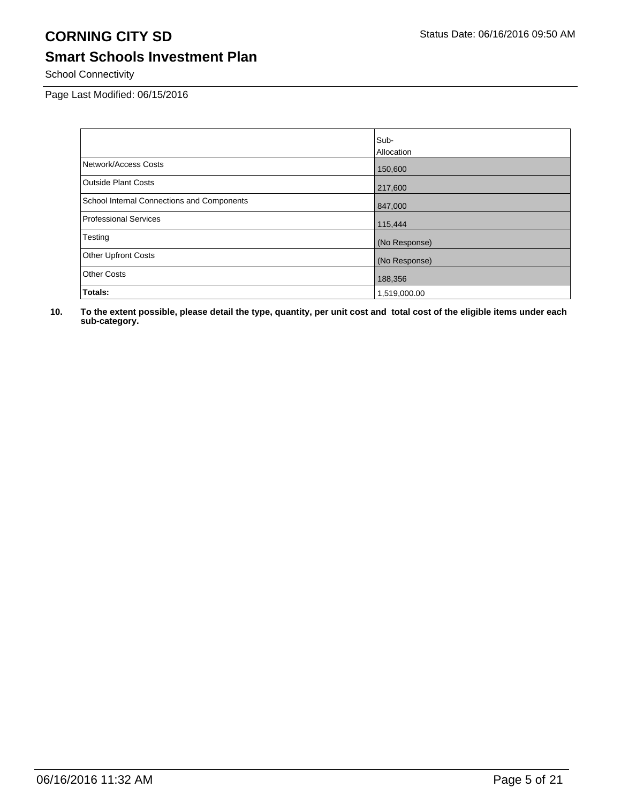# **Smart Schools Investment Plan**

School Connectivity

Page Last Modified: 06/15/2016

|                                            | Sub-          |
|--------------------------------------------|---------------|
|                                            | Allocation    |
| Network/Access Costs                       | 150,600       |
| <b>Outside Plant Costs</b>                 | 217,600       |
| School Internal Connections and Components | 847,000       |
| <b>Professional Services</b>               | 115,444       |
| Testing                                    | (No Response) |
| <b>Other Upfront Costs</b>                 | (No Response) |
| <b>Other Costs</b>                         | 188,356       |
| Totals:                                    | 1,519,000.00  |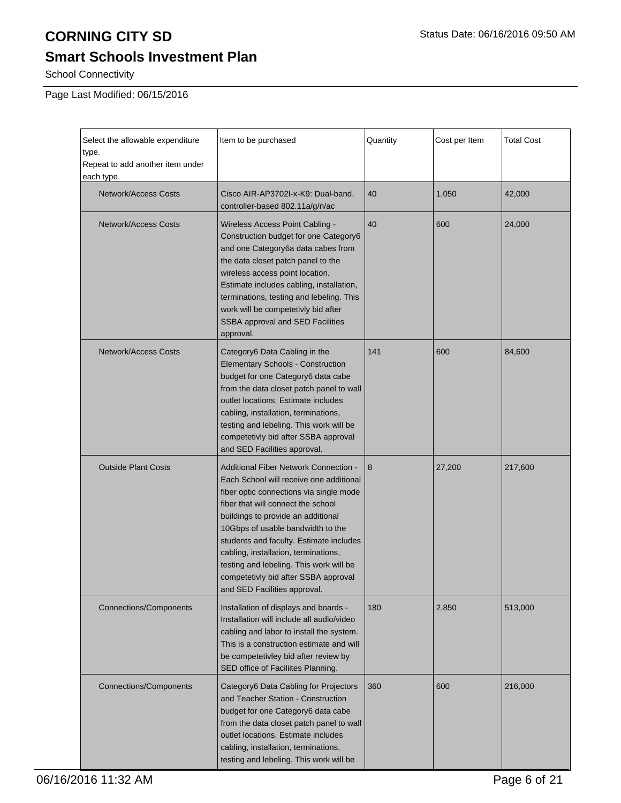# **Smart Schools Investment Plan**

School Connectivity

Page Last Modified: 06/15/2016

| Select the allowable expenditure<br>type.<br>Repeat to add another item under<br>each type. | Item to be purchased                                                                                                                                                                                                                                                                                                                                                                                                                                      | Quantity | Cost per Item | <b>Total Cost</b> |
|---------------------------------------------------------------------------------------------|-----------------------------------------------------------------------------------------------------------------------------------------------------------------------------------------------------------------------------------------------------------------------------------------------------------------------------------------------------------------------------------------------------------------------------------------------------------|----------|---------------|-------------------|
| <b>Network/Access Costs</b>                                                                 | Cisco AIR-AP3702I-x-K9: Dual-band,<br>controller-based 802.11a/g/n/ac                                                                                                                                                                                                                                                                                                                                                                                     | 40       | 1,050         | 42,000            |
| <b>Network/Access Costs</b>                                                                 | Wireless Access Point Cabling -<br>Construction budget for one Category6<br>and one Category6a data cabes from<br>the data closet patch panel to the<br>wireless access point location.<br>Estimate includes cabling, installation,<br>terminations, testing and lebeling. This<br>work will be competetivly bid after<br>SSBA approval and SED Facilities<br>approval.                                                                                   | 40       | 600           | 24,000            |
| <b>Network/Access Costs</b>                                                                 | Category6 Data Cabling in the<br><b>Elementary Schools - Construction</b><br>budget for one Category6 data cabe<br>from the data closet patch panel to wall<br>outlet locations. Estimate includes<br>cabling, installation, terminations,<br>testing and lebeling. This work will be<br>competetivly bid after SSBA approval<br>and SED Facilities approval.                                                                                             | 141      | 600           | 84,600            |
| <b>Outside Plant Costs</b>                                                                  | <b>Additional Fiber Network Connection -</b><br>Each School will receive one additional<br>fiber optic connections via single mode<br>fiber that will connect the school<br>buildings to provide an additional<br>10Gbps of usable bandwidth to the<br>students and faculty. Estimate includes<br>cabling, installation, terminations,<br>testing and lebeling. This work will be<br>competetivly bid after SSBA approval<br>and SED Facilities approval. | 8        | 27,200        | 217,600           |
| <b>Connections/Components</b>                                                               | Installation of displays and boards -<br>Installation will include all audio/video<br>cabling and labor to install the system.<br>This is a construction estimate and will<br>be competetivley bid after review by<br>SED office of Faciliites Planning.                                                                                                                                                                                                  | 180      | 2,850         | 513,000           |
| Connections/Components                                                                      | Category6 Data Cabling for Projectors<br>and Teacher Station - Construction<br>budget for one Category6 data cabe<br>from the data closet patch panel to wall<br>outlet locations. Estimate includes<br>cabling, installation, terminations,<br>testing and lebeling. This work will be                                                                                                                                                                   | 360      | 600           | 216,000           |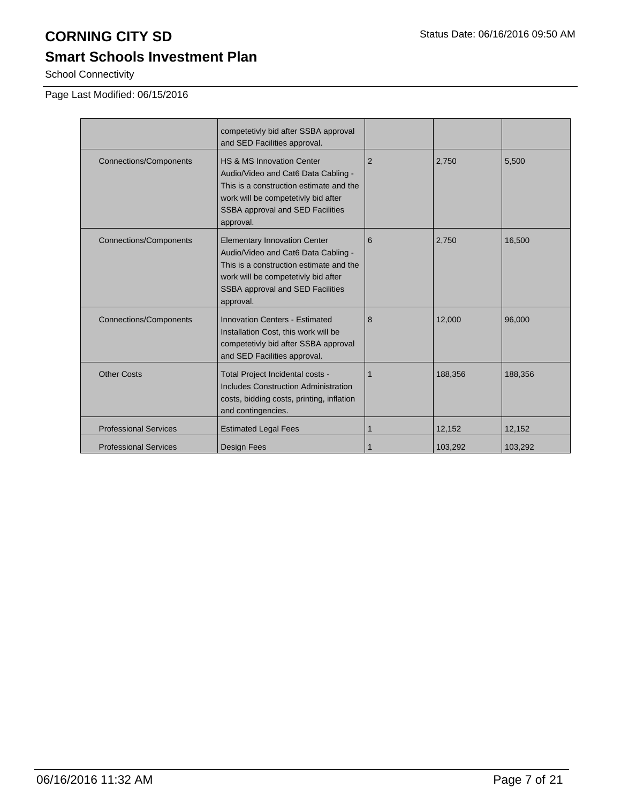# **Smart Schools Investment Plan**

School Connectivity

Page Last Modified: 06/15/2016

|                               | competetivly bid after SSBA approval<br>and SED Facilities approval.                                                                                                                                          |                |         |         |
|-------------------------------|---------------------------------------------------------------------------------------------------------------------------------------------------------------------------------------------------------------|----------------|---------|---------|
| <b>Connections/Components</b> | HS & MS Innovation Center<br>Audio/Video and Cat6 Data Cabling -<br>This is a construction estimate and the<br>work will be competetivly bid after<br>SSBA approval and SED Facilities<br>approval.           | $\overline{2}$ | 2,750   | 5,500   |
| <b>Connections/Components</b> | <b>Elementary Innovation Center</b><br>Audio/Video and Cat6 Data Cabling -<br>This is a construction estimate and the<br>work will be competetivly bid after<br>SSBA approval and SED Facilities<br>approval. | 6              | 2,750   | 16,500  |
| <b>Connections/Components</b> | <b>Innovation Centers - Estimated</b><br>Installation Cost, this work will be<br>competetivly bid after SSBA approval<br>and SED Facilities approval.                                                         | 8              | 12,000  | 96.000  |
| <b>Other Costs</b>            | Total Project Incidental costs -<br><b>Includes Construction Administration</b><br>costs, bidding costs, printing, inflation<br>and contingencies.                                                            |                | 188,356 | 188,356 |
| <b>Professional Services</b>  | <b>Estimated Legal Fees</b>                                                                                                                                                                                   | 1              | 12,152  | 12,152  |
| <b>Professional Services</b>  | <b>Design Fees</b>                                                                                                                                                                                            | 1              | 103,292 | 103,292 |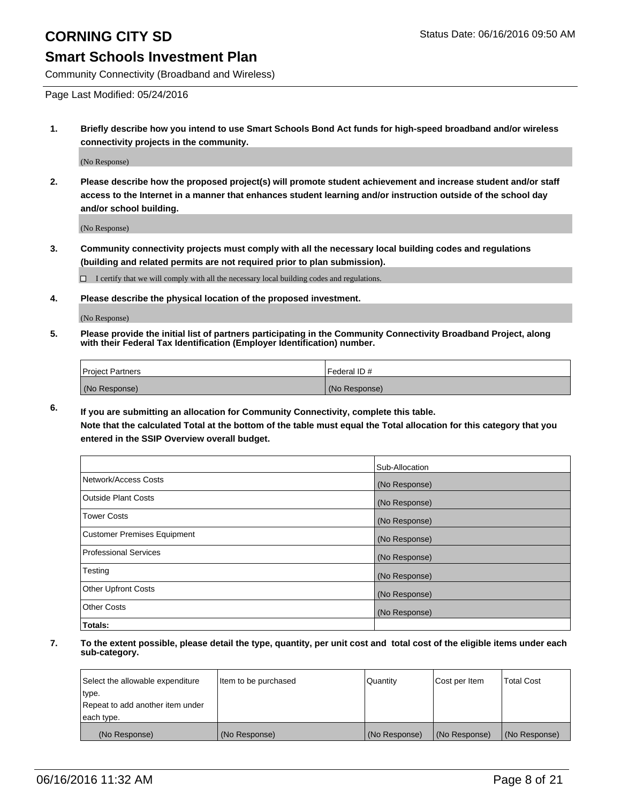Community Connectivity (Broadband and Wireless)

Page Last Modified: 05/24/2016

**1. Briefly describe how you intend to use Smart Schools Bond Act funds for high-speed broadband and/or wireless connectivity projects in the community.**

(No Response)

**2. Please describe how the proposed project(s) will promote student achievement and increase student and/or staff access to the Internet in a manner that enhances student learning and/or instruction outside of the school day and/or school building.**

(No Response)

**3. Community connectivity projects must comply with all the necessary local building codes and regulations (building and related permits are not required prior to plan submission).**

 $\Box$  I certify that we will comply with all the necessary local building codes and regulations.

**4. Please describe the physical location of the proposed investment.**

(No Response)

**5. Please provide the initial list of partners participating in the Community Connectivity Broadband Project, along with their Federal Tax Identification (Employer Identification) number.**

| Project Partners | I Federal ID # |
|------------------|----------------|
| (No Response)    | (No Response)  |

**6. If you are submitting an allocation for Community Connectivity, complete this table.**

**Note that the calculated Total at the bottom of the table must equal the Total allocation for this category that you entered in the SSIP Overview overall budget.**

|                             | Sub-Allocation |
|-----------------------------|----------------|
| Network/Access Costs        | (No Response)  |
| Outside Plant Costs         | (No Response)  |
| <b>Tower Costs</b>          | (No Response)  |
| Customer Premises Equipment | (No Response)  |
| Professional Services       | (No Response)  |
| Testing                     | (No Response)  |
| Other Upfront Costs         | (No Response)  |
| Other Costs                 | (No Response)  |
| Totals:                     |                |

| Select the allowable expenditure | Item to be purchased | Quantity      | Cost per Item | <b>Total Cost</b> |
|----------------------------------|----------------------|---------------|---------------|-------------------|
| type.                            |                      |               |               |                   |
| Repeat to add another item under |                      |               |               |                   |
| each type.                       |                      |               |               |                   |
| (No Response)                    | (No Response)        | (No Response) | (No Response) | (No Response)     |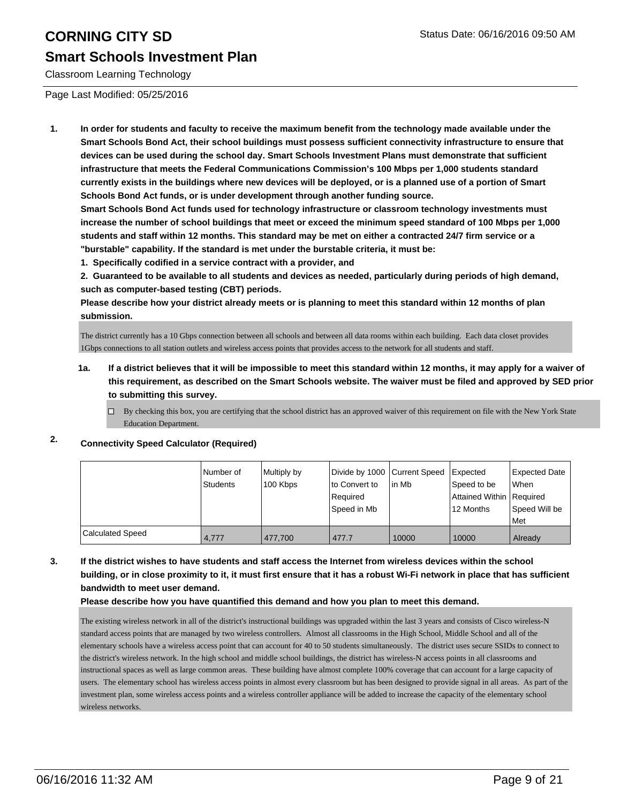### **Smart Schools Investment Plan**

Classroom Learning Technology

Page Last Modified: 05/25/2016

**1. In order for students and faculty to receive the maximum benefit from the technology made available under the Smart Schools Bond Act, their school buildings must possess sufficient connectivity infrastructure to ensure that devices can be used during the school day. Smart Schools Investment Plans must demonstrate that sufficient infrastructure that meets the Federal Communications Commission's 100 Mbps per 1,000 students standard currently exists in the buildings where new devices will be deployed, or is a planned use of a portion of Smart Schools Bond Act funds, or is under development through another funding source.**

**Smart Schools Bond Act funds used for technology infrastructure or classroom technology investments must increase the number of school buildings that meet or exceed the minimum speed standard of 100 Mbps per 1,000 students and staff within 12 months. This standard may be met on either a contracted 24/7 firm service or a "burstable" capability. If the standard is met under the burstable criteria, it must be:**

**1. Specifically codified in a service contract with a provider, and**

**2. Guaranteed to be available to all students and devices as needed, particularly during periods of high demand, such as computer-based testing (CBT) periods.**

**Please describe how your district already meets or is planning to meet this standard within 12 months of plan submission.**

The district currently has a 10 Gbps connection between all schools and between all data rooms within each building. Each data closet provides 1Gbps connections to all station outlets and wireless access points that provides access to the network for all students and staff.

- **1a. If a district believes that it will be impossible to meet this standard within 12 months, it may apply for a waiver of this requirement, as described on the Smart Schools website. The waiver must be filed and approved by SED prior to submitting this survey.**
	- $\Box$  By checking this box, you are certifying that the school district has an approved waiver of this requirement on file with the New York State Education Department.

### **2. Connectivity Speed Calculator (Required)**

|                  | Number of<br>Students | Multiply by<br>100 Kbps | Divide by 1000 Current Speed<br>Ito Convert to | lin Mb | Expected<br>Speed to be  | Expected Date<br><b>When</b> |
|------------------|-----------------------|-------------------------|------------------------------------------------|--------|--------------------------|------------------------------|
|                  |                       |                         | Required                                       |        | Attained Within Required |                              |
|                  |                       |                         | Speed in Mb                                    |        | 12 Months                | Speed Will be                |
|                  |                       |                         |                                                |        |                          | l Met                        |
| Calculated Speed | 4.777                 | 477.700                 | 477.7                                          | 10000  | 10000                    | Already                      |

**3. If the district wishes to have students and staff access the Internet from wireless devices within the school building, or in close proximity to it, it must first ensure that it has a robust Wi-Fi network in place that has sufficient bandwidth to meet user demand.**

**Please describe how you have quantified this demand and how you plan to meet this demand.**

The existing wireless network in all of the district's instructional buildings was upgraded within the last 3 years and consists of Cisco wireless-N standard access points that are managed by two wireless controllers. Almost all classrooms in the High School, Middle School and all of the elementary schools have a wireless access point that can account for 40 to 50 students simultaneously. The district uses secure SSIDs to connect to the district's wireless network. In the high school and middle school buildings, the district has wireless-N access points in all classrooms and instructional spaces as well as large common areas. These building have almost complete 100% coverage that can account for a large capacity of users. The elementary school has wireless access points in almost every classroom but has been designed to provide signal in all areas. As part of the investment plan, some wireless access points and a wireless controller appliance will be added to increase the capacity of the elementary school wireless networks.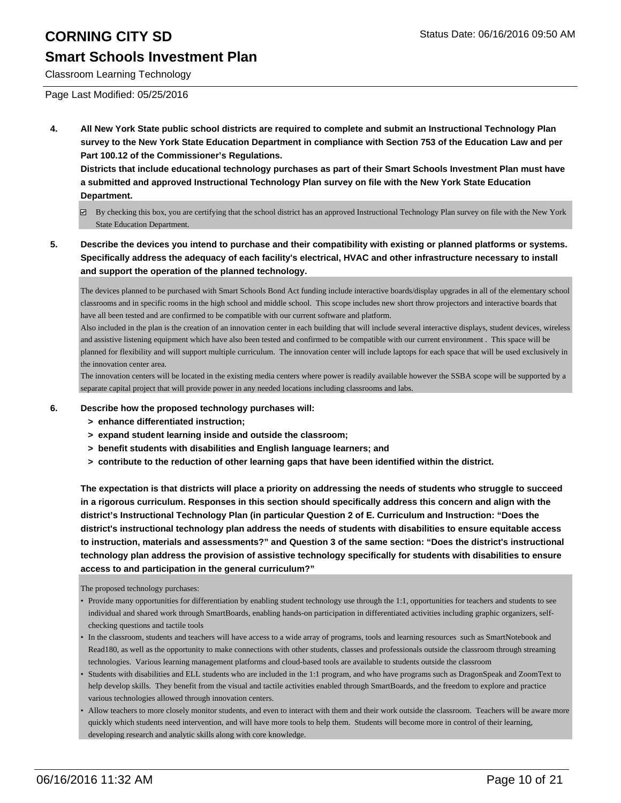## **Smart Schools Investment Plan**

Classroom Learning Technology

Page Last Modified: 05/25/2016

**4. All New York State public school districts are required to complete and submit an Instructional Technology Plan survey to the New York State Education Department in compliance with Section 753 of the Education Law and per Part 100.12 of the Commissioner's Regulations.**

**Districts that include educational technology purchases as part of their Smart Schools Investment Plan must have a submitted and approved Instructional Technology Plan survey on file with the New York State Education Department.**

- By checking this box, you are certifying that the school district has an approved Instructional Technology Plan survey on file with the New York State Education Department.
- **5. Describe the devices you intend to purchase and their compatibility with existing or planned platforms or systems. Specifically address the adequacy of each facility's electrical, HVAC and other infrastructure necessary to install and support the operation of the planned technology.**

The devices planned to be purchased with Smart Schools Bond Act funding include interactive boards/display upgrades in all of the elementary school classrooms and in specific rooms in the high school and middle school. This scope includes new short throw projectors and interactive boards that have all been tested and are confirmed to be compatible with our current software and platform.

Also included in the plan is the creation of an innovation center in each building that will include several interactive displays, student devices, wireless and assistive listening equipment which have also been tested and confirmed to be compatible with our current environment . This space will be planned for flexibility and will support multiple curriculum. The innovation center will include laptops for each space that will be used exclusively in the innovation center area.

The innovation centers will be located in the existing media centers where power is readily available however the SSBA scope will be supported by a separate capital project that will provide power in any needed locations including classrooms and labs.

- **6. Describe how the proposed technology purchases will:**
	- **> enhance differentiated instruction;**
	- **> expand student learning inside and outside the classroom;**
	- **> benefit students with disabilities and English language learners; and**
	- **> contribute to the reduction of other learning gaps that have been identified within the district.**

**The expectation is that districts will place a priority on addressing the needs of students who struggle to succeed in a rigorous curriculum. Responses in this section should specifically address this concern and align with the district's Instructional Technology Plan (in particular Question 2 of E. Curriculum and Instruction: "Does the district's instructional technology plan address the needs of students with disabilities to ensure equitable access to instruction, materials and assessments?" and Question 3 of the same section: "Does the district's instructional technology plan address the provision of assistive technology specifically for students with disabilities to ensure access to and participation in the general curriculum?"**

The proposed technology purchases:

- Provide many opportunities for differentiation by enabling student technology use through the 1:1, opportunities for teachers and students to see individual and shared work through SmartBoards, enabling hands-on participation in differentiated activities including graphic organizers, selfchecking questions and tactile tools
- In the classroom, students and teachers will have access to a wide array of programs, tools and learning resources such as SmartNotebook and Read180, as well as the opportunity to make connections with other students, classes and professionals outside the classroom through streaming technologies. Various learning management platforms and cloud-based tools are available to students outside the classroom
- Students with disabilities and ELL students who are included in the 1:1 program, and who have programs such as DragonSpeak and ZoomText to help develop skills. They benefit from the visual and tactile activities enabled through SmartBoards, and the freedom to explore and practice various technologies allowed through innovation centers. •
- Allow teachers to more closely monitor students, and even to interact with them and their work outside the classroom. Teachers will be aware more quickly which students need intervention, and will have more tools to help them. Students will become more in control of their learning, developing research and analytic skills along with core knowledge. •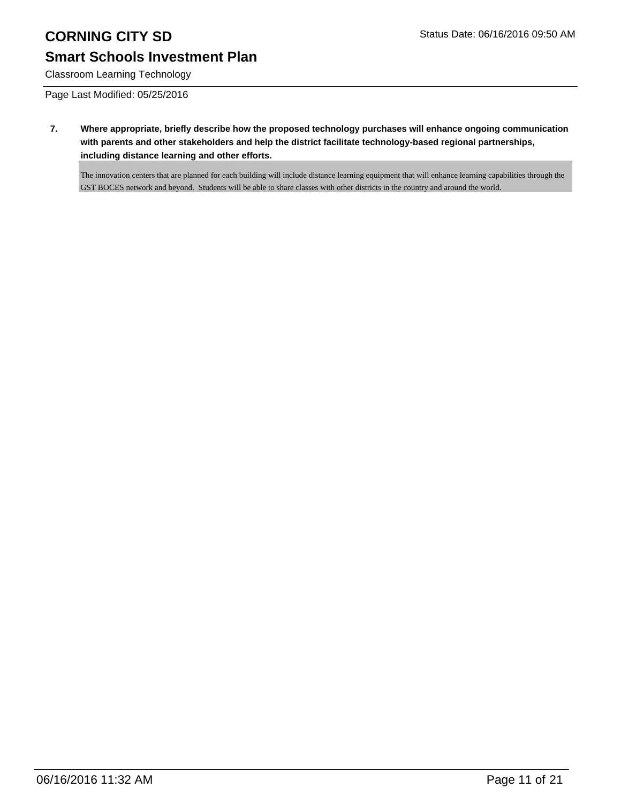# **Smart Schools Investment Plan**

Classroom Learning Technology

Page Last Modified: 05/25/2016

**7. Where appropriate, briefly describe how the proposed technology purchases will enhance ongoing communication with parents and other stakeholders and help the district facilitate technology-based regional partnerships, including distance learning and other efforts.**

The innovation centers that are planned for each building will include distance learning equipment that will enhance learning capabilities through the GST BOCES network and beyond. Students will be able to share classes with other districts in the country and around the world.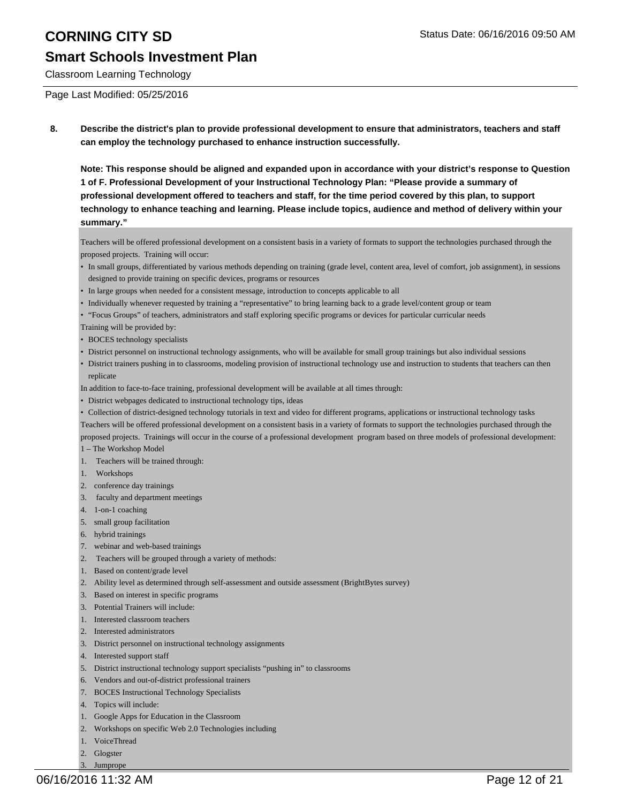Classroom Learning Technology

Page Last Modified: 05/25/2016

**8. Describe the district's plan to provide professional development to ensure that administrators, teachers and staff can employ the technology purchased to enhance instruction successfully.**

**Note: This response should be aligned and expanded upon in accordance with your district's response to Question 1 of F. Professional Development of your Instructional Technology Plan: "Please provide a summary of professional development offered to teachers and staff, for the time period covered by this plan, to support technology to enhance teaching and learning. Please include topics, audience and method of delivery within your summary."**

Teachers will be offered professional development on a consistent basis in a variety of formats to support the technologies purchased through the proposed projects. Training will occur:

- In small groups, differentiated by various methods depending on training (grade level, content area, level of comfort, job assignment), in sessions designed to provide training on specific devices, programs or resources
- In large groups when needed for a consistent message, introduction to concepts applicable to all
- Individually whenever requested by training a "representative" to bring learning back to a grade level/content group or team
- "Focus Groups" of teachers, administrators and staff exploring specific programs or devices for particular curricular needs
- Training will be provided by:
- BOCES technology specialists
- District personnel on instructional technology assignments, who will be available for small group trainings but also individual sessions
- District trainers pushing in to classrooms, modeling provision of instructional technology use and instruction to students that teachers can then replicate

In addition to face-to-face training, professional development will be available at all times through:

- District webpages dedicated to instructional technology tips, ideas
- Collection of district-designed technology tutorials in text and video for different programs, applications or instructional technology tasks

Teachers will be offered professional development on a consistent basis in a variety of formats to support the technologies purchased through the proposed projects. Trainings will occur in the course of a professional development program based on three models of professional development:

- 1 The Workshop Model
- 1. Teachers will be trained through:
- 1. Workshops
- 2. conference day trainings
- 3. faculty and department meetings
- 4. 1-on-1 coaching
- 5. small group facilitation
- 6. hybrid trainings
- 7. webinar and web-based trainings
- 2. Teachers will be grouped through a variety of methods:
- 1. Based on content/grade level
- 2. Ability level as determined through self-assessment and outside assessment (BrightBytes survey)
- 3. Based on interest in specific programs
- 3. Potential Trainers will include:
- 1. Interested classroom teachers
- 2. Interested administrators
- 3. District personnel on instructional technology assignments
- 4. Interested support staff
- 5. District instructional technology support specialists "pushing in" to classrooms
- 6. Vendors and out-of-district professional trainers
- 7. BOCES Instructional Technology Specialists
- 4. Topics will include:
- 1. Google Apps for Education in the Classroom
- 2. Workshops on specific Web 2.0 Technologies including
- 1. VoiceThread
- 2. Glogster 3. Jumprope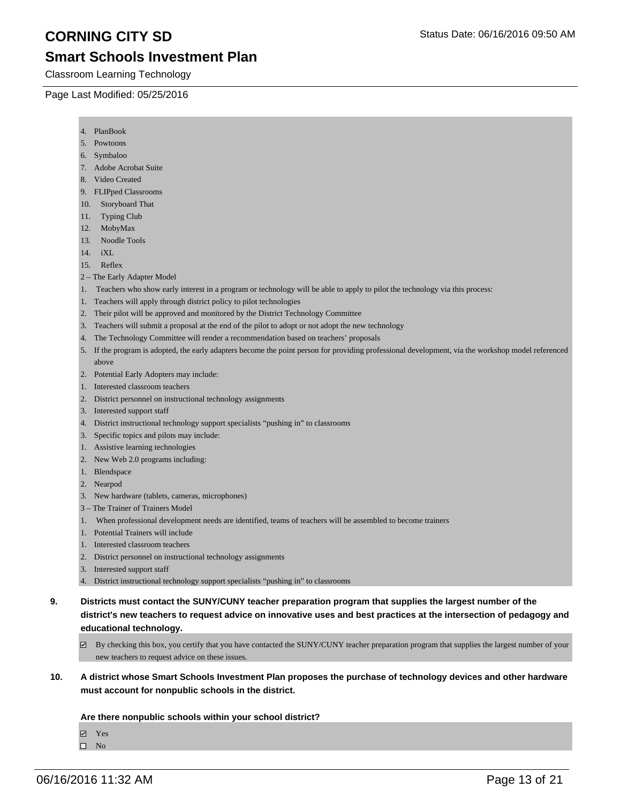Classroom Learning Technology

Page Last Modified: 05/25/2016

- 4. PlanBook
- 5. Powtoons
- 6. Symbaloo
- 7. Adobe Acrobat Suite
- 8. Video Created
- 9. FLIPped Classrooms
- 10. Storyboard That
- 11. Typing Club
- 12. MobyMax
- 13. Noodle Tools
- 14. iXL
- 15. Reflex
- 2 The Early Adapter Model
- 1. Teachers who show early interest in a program or technology will be able to apply to pilot the technology via this process:
- 1. Teachers will apply through district policy to pilot technologies
- 2. Their pilot will be approved and monitored by the District Technology Committee
- 3. Teachers will submit a proposal at the end of the pilot to adopt or not adopt the new technology
- 4. The Technology Committee will render a recommendation based on teachers' proposals
- 5. If the program is adopted, the early adapters become the point person for providing professional development, via the workshop model referenced above
- 2. Potential Early Adopters may include:
- 1. Interested classroom teachers
- 2. District personnel on instructional technology assignments
- 3. Interested support staff
- 4. District instructional technology support specialists "pushing in" to classrooms
- 3. Specific topics and pilots may include:
- 1. Assistive learning technologies
- 2. New Web 2.0 programs including:
- 1. Blendspace
- 2. Nearpod
- 3. New hardware (tablets, cameras, microphones)
- 3 The Trainer of Trainers Model
- 1. When professional development needs are identified, teams of teachers will be assembled to become trainers
- 1. Potential Trainers will include
- 1. Interested classroom teachers
- 2. District personnel on instructional technology assignments
- 3. Interested support staff
- 4. District instructional technology support specialists "pushing in" to classrooms
- **9. Districts must contact the SUNY/CUNY teacher preparation program that supplies the largest number of the district's new teachers to request advice on innovative uses and best practices at the intersection of pedagogy and educational technology.**
	- $\boxtimes$  By checking this box, you certify that you have contacted the SUNY/CUNY teacher preparation program that supplies the largest number of your new teachers to request advice on these issues.
- **10. A district whose Smart Schools Investment Plan proposes the purchase of technology devices and other hardware must account for nonpublic schools in the district.**

### **Are there nonpublic schools within your school district?**

Yes

 $\hfill \square$  No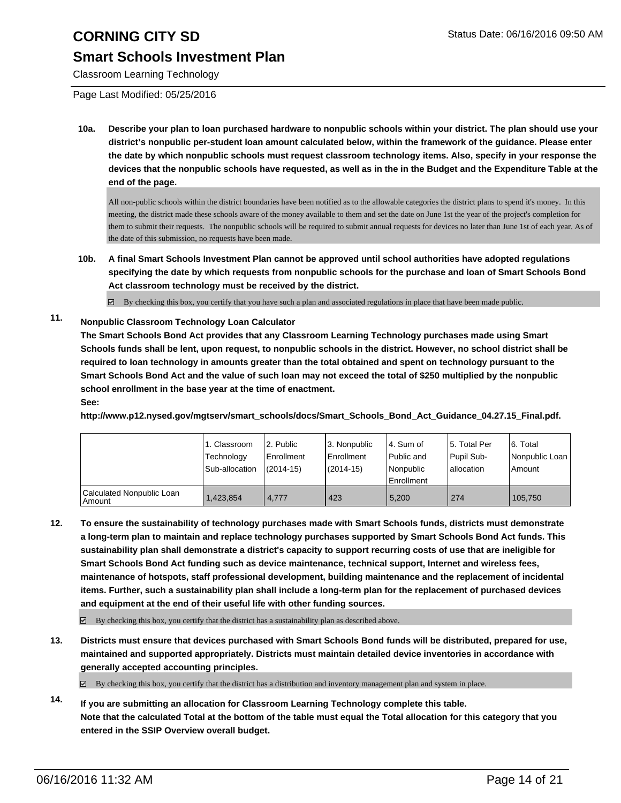Classroom Learning Technology

Page Last Modified: 05/25/2016

**10a. Describe your plan to loan purchased hardware to nonpublic schools within your district. The plan should use your district's nonpublic per-student loan amount calculated below, within the framework of the guidance. Please enter the date by which nonpublic schools must request classroom technology items. Also, specify in your response the devices that the nonpublic schools have requested, as well as in the in the Budget and the Expenditure Table at the end of the page.**

All non-public schools within the district boundaries have been notified as to the allowable categories the district plans to spend it's money. In this meeting, the district made these schools aware of the money available to them and set the date on June 1st the year of the project's completion for them to submit their requests. The nonpublic schools will be required to submit annual requests for devices no later than June 1st of each year. As of the date of this submission, no requests have been made.

**10b. A final Smart Schools Investment Plan cannot be approved until school authorities have adopted regulations specifying the date by which requests from nonpublic schools for the purchase and loan of Smart Schools Bond Act classroom technology must be received by the district.**

 $\boxtimes$  By checking this box, you certify that you have such a plan and associated regulations in place that have been made public.

### **11. Nonpublic Classroom Technology Loan Calculator**

**The Smart Schools Bond Act provides that any Classroom Learning Technology purchases made using Smart Schools funds shall be lent, upon request, to nonpublic schools in the district. However, no school district shall be required to loan technology in amounts greater than the total obtained and spent on technology pursuant to the Smart Schools Bond Act and the value of such loan may not exceed the total of \$250 multiplied by the nonpublic school enrollment in the base year at the time of enactment.**

**See: http://www.p12.nysed.gov/mgtserv/smart\_schools/docs/Smart\_Schools\_Bond\_Act\_Guidance\_04.27.15\_Final.pdf.**

|                                       | 1. Classroom<br>Technology<br>Sub-allocation | 2. Public<br><b>Enrollment</b><br>$(2014-15)$ | 3. Nonpublic<br>Enrollment<br>$(2014-15)$ | l 4. Sum of<br>l Public and<br>Nonpublic<br><b>Enrollment</b> | 5. Total Per<br>Pupil Sub-<br>lallocation | 6. Total<br>Nonpublic Loan<br>Amount |
|---------------------------------------|----------------------------------------------|-----------------------------------------------|-------------------------------------------|---------------------------------------------------------------|-------------------------------------------|--------------------------------------|
| Calculated Nonpublic Loan<br>  Amount | 1,423,854                                    | 4.777                                         | 423                                       | 5.200                                                         | 274                                       | 105,750                              |

**12. To ensure the sustainability of technology purchases made with Smart Schools funds, districts must demonstrate a long-term plan to maintain and replace technology purchases supported by Smart Schools Bond Act funds. This sustainability plan shall demonstrate a district's capacity to support recurring costs of use that are ineligible for Smart Schools Bond Act funding such as device maintenance, technical support, Internet and wireless fees, maintenance of hotspots, staff professional development, building maintenance and the replacement of incidental items. Further, such a sustainability plan shall include a long-term plan for the replacement of purchased devices and equipment at the end of their useful life with other funding sources.**

 $\boxtimes$  By checking this box, you certify that the district has a sustainability plan as described above.

**13. Districts must ensure that devices purchased with Smart Schools Bond funds will be distributed, prepared for use, maintained and supported appropriately. Districts must maintain detailed device inventories in accordance with generally accepted accounting principles.**

 $\boxtimes$  By checking this box, you certify that the district has a distribution and inventory management plan and system in place.

**14. If you are submitting an allocation for Classroom Learning Technology complete this table. Note that the calculated Total at the bottom of the table must equal the Total allocation for this category that you entered in the SSIP Overview overall budget.**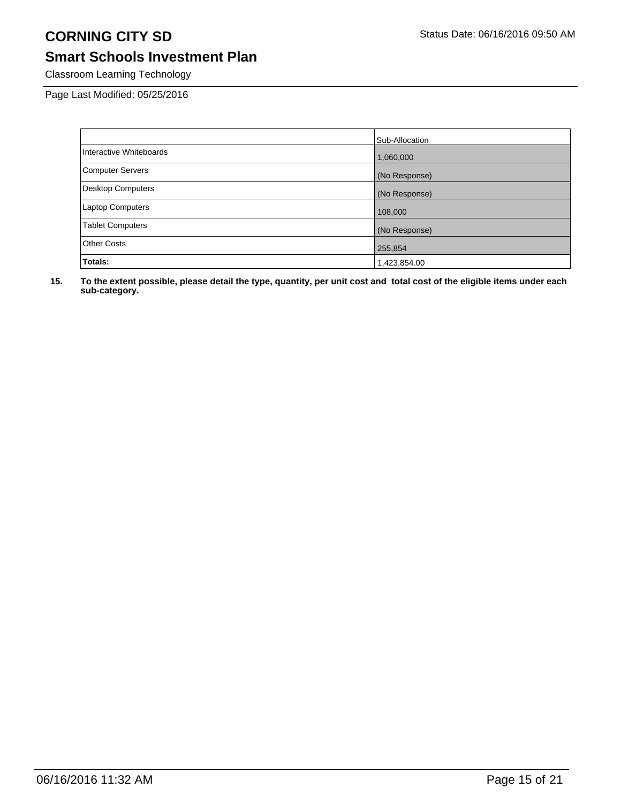# **Smart Schools Investment Plan**

Classroom Learning Technology

Page Last Modified: 05/25/2016

|                          | Sub-Allocation |
|--------------------------|----------------|
| Interactive Whiteboards  | 1,060,000      |
| <b>Computer Servers</b>  | (No Response)  |
| <b>Desktop Computers</b> | (No Response)  |
| Laptop Computers         | 108,000        |
| <b>Tablet Computers</b>  | (No Response)  |
| <b>Other Costs</b>       | 255,854        |
| Totals:                  | 1,423,854.00   |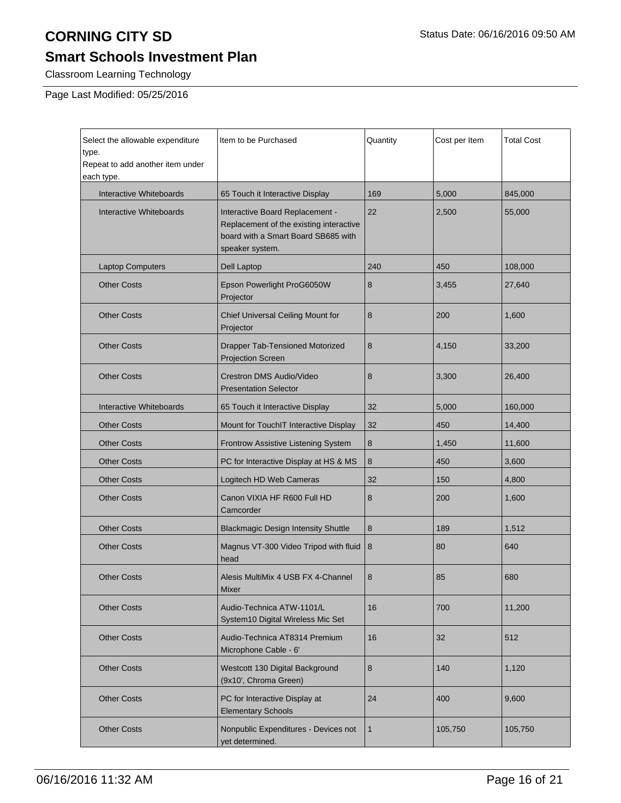# **Smart Schools Investment Plan**

Classroom Learning Technology

Page Last Modified: 05/25/2016

| Select the allowable expenditure<br>type.<br>Repeat to add another item under<br>each type. | Item to be Purchased                                                                                                                 | Quantity     | Cost per Item | <b>Total Cost</b> |
|---------------------------------------------------------------------------------------------|--------------------------------------------------------------------------------------------------------------------------------------|--------------|---------------|-------------------|
| <b>Interactive Whiteboards</b>                                                              | 65 Touch it Interactive Display                                                                                                      | 169          | 5,000         | 845,000           |
| <b>Interactive Whiteboards</b>                                                              | Interactive Board Replacement -<br>Replacement of the existing interactive<br>board with a Smart Board SB685 with<br>speaker system. | 22           | 2,500         | 55,000            |
| <b>Laptop Computers</b>                                                                     | <b>Dell Laptop</b>                                                                                                                   | 240          | 450           | 108,000           |
| <b>Other Costs</b>                                                                          | Epson Powerlight ProG6050W<br>Projector                                                                                              | 8            | 3,455         | 27,640            |
| <b>Other Costs</b>                                                                          | Chief Universal Ceiling Mount for<br>Projector                                                                                       | 8            | 200           | 1,600             |
| <b>Other Costs</b>                                                                          | <b>Drapper Tab-Tensioned Motorized</b><br><b>Projection Screen</b>                                                                   | 8            | 4,150         | 33,200            |
| <b>Other Costs</b>                                                                          | Crestron DMS Audio/Video<br><b>Presentation Selector</b>                                                                             | 8            | 3,300         | 26,400            |
| <b>Interactive Whiteboards</b>                                                              | 65 Touch it Interactive Display                                                                                                      | 32           | 5,000         | 160,000           |
| <b>Other Costs</b>                                                                          | Mount for TouchIT Interactive Display                                                                                                | 32           | 450           | 14,400            |
| <b>Other Costs</b>                                                                          | Frontrow Assistive Listening System                                                                                                  | 8            | 1,450         | 11,600            |
| <b>Other Costs</b>                                                                          | PC for Interactive Display at HS & MS                                                                                                | 8            | 450           | 3,600             |
| <b>Other Costs</b>                                                                          | Logitech HD Web Cameras                                                                                                              | 32           | 150           | 4,800             |
| <b>Other Costs</b>                                                                          | Canon VIXIA HF R600 Full HD<br>Camcorder                                                                                             | 8            | 200           | 1,600             |
| <b>Other Costs</b>                                                                          | <b>Blackmagic Design Intensity Shuttle</b>                                                                                           | 8            | 189           | 1,512             |
| <b>Other Costs</b>                                                                          | Magnus VT-300 Video Tripod with fluid<br>head                                                                                        | 8            | 80            | 640               |
| <b>Other Costs</b>                                                                          | Alesis MultiMix 4 USB FX 4-Channel<br>Mixer                                                                                          | 8            | 85            | 680               |
| <b>Other Costs</b>                                                                          | Audio-Technica ATW-1101/L<br>System10 Digital Wireless Mic Set                                                                       | 16           | 700           | 11,200            |
| <b>Other Costs</b>                                                                          | Audio-Technica AT8314 Premium<br>Microphone Cable - 6'                                                                               | 16           | 32            | 512               |
| <b>Other Costs</b>                                                                          | Westcott 130 Digital Background<br>(9x10', Chroma Green)                                                                             | 8            | 140           | 1,120             |
| <b>Other Costs</b>                                                                          | PC for Interactive Display at<br><b>Elementary Schools</b>                                                                           | 24           | 400           | 9.600             |
| <b>Other Costs</b>                                                                          | Nonpublic Expenditures - Devices not<br>yet determined.                                                                              | $\mathbf{1}$ | 105,750       | 105,750           |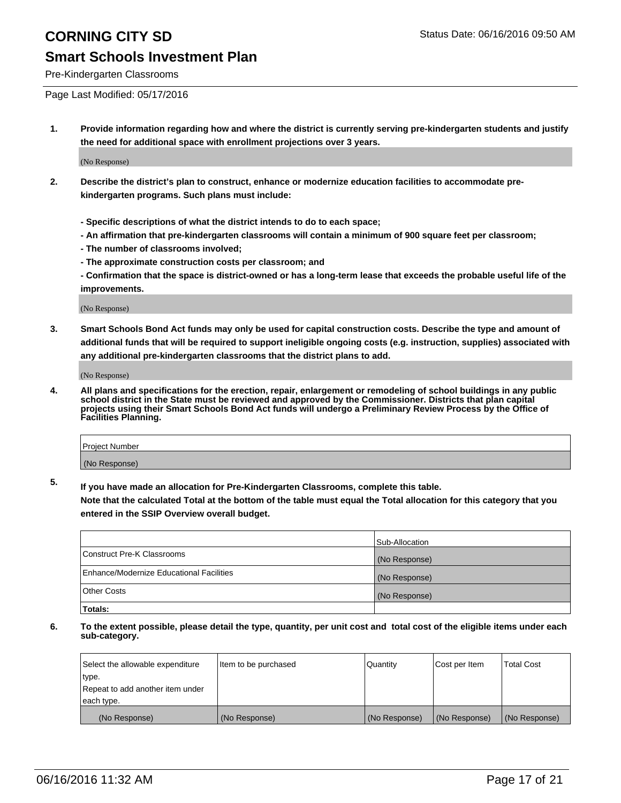## **Smart Schools Investment Plan**

Pre-Kindergarten Classrooms

Page Last Modified: 05/17/2016

**1. Provide information regarding how and where the district is currently serving pre-kindergarten students and justify the need for additional space with enrollment projections over 3 years.**

(No Response)

- **2. Describe the district's plan to construct, enhance or modernize education facilities to accommodate prekindergarten programs. Such plans must include:**
	- **Specific descriptions of what the district intends to do to each space;**
	- **An affirmation that pre-kindergarten classrooms will contain a minimum of 900 square feet per classroom;**
	- **The number of classrooms involved;**
	- **The approximate construction costs per classroom; and**
	- **Confirmation that the space is district-owned or has a long-term lease that exceeds the probable useful life of the improvements.**

(No Response)

**3. Smart Schools Bond Act funds may only be used for capital construction costs. Describe the type and amount of additional funds that will be required to support ineligible ongoing costs (e.g. instruction, supplies) associated with any additional pre-kindergarten classrooms that the district plans to add.**

(No Response)

**4. All plans and specifications for the erection, repair, enlargement or remodeling of school buildings in any public school district in the State must be reviewed and approved by the Commissioner. Districts that plan capital projects using their Smart Schools Bond Act funds will undergo a Preliminary Review Process by the Office of Facilities Planning.**

| Project Number |  |
|----------------|--|
| (No Response)  |  |

**5. If you have made an allocation for Pre-Kindergarten Classrooms, complete this table.**

**Note that the calculated Total at the bottom of the table must equal the Total allocation for this category that you entered in the SSIP Overview overall budget.**

|                                          | Sub-Allocation |
|------------------------------------------|----------------|
| Construct Pre-K Classrooms               | (No Response)  |
| Enhance/Modernize Educational Facilities | (No Response)  |
| Other Costs                              | (No Response)  |
| Totals:                                  |                |

| Select the allowable expenditure | Item to be purchased | Quantity      | Cost per Item | <b>Total Cost</b> |
|----------------------------------|----------------------|---------------|---------------|-------------------|
| type.                            |                      |               |               |                   |
| Repeat to add another item under |                      |               |               |                   |
| each type.                       |                      |               |               |                   |
| (No Response)                    | (No Response)        | (No Response) | (No Response) | (No Response)     |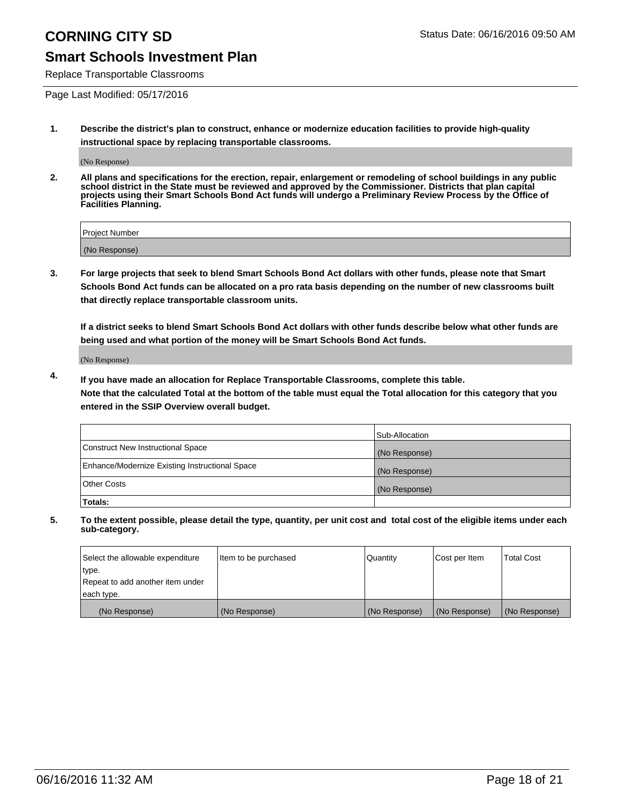## **Smart Schools Investment Plan**

Replace Transportable Classrooms

Page Last Modified: 05/17/2016

**1. Describe the district's plan to construct, enhance or modernize education facilities to provide high-quality instructional space by replacing transportable classrooms.**

(No Response)

**2. All plans and specifications for the erection, repair, enlargement or remodeling of school buildings in any public school district in the State must be reviewed and approved by the Commissioner. Districts that plan capital projects using their Smart Schools Bond Act funds will undergo a Preliminary Review Process by the Office of Facilities Planning.**

| <b>Project Number</b> |  |
|-----------------------|--|
| (No Response)         |  |

**3. For large projects that seek to blend Smart Schools Bond Act dollars with other funds, please note that Smart Schools Bond Act funds can be allocated on a pro rata basis depending on the number of new classrooms built that directly replace transportable classroom units.**

**If a district seeks to blend Smart Schools Bond Act dollars with other funds describe below what other funds are being used and what portion of the money will be Smart Schools Bond Act funds.**

(No Response)

**4. If you have made an allocation for Replace Transportable Classrooms, complete this table. Note that the calculated Total at the bottom of the table must equal the Total allocation for this category that you entered in the SSIP Overview overall budget.**

|                                                | Sub-Allocation |
|------------------------------------------------|----------------|
| Construct New Instructional Space              | (No Response)  |
| Enhance/Modernize Existing Instructional Space | (No Response)  |
| <b>Other Costs</b>                             | (No Response)  |
| Totals:                                        |                |

| Select the allowable expenditure | Item to be purchased | <b>Quantity</b> | Cost per Item | <b>Total Cost</b> |
|----------------------------------|----------------------|-----------------|---------------|-------------------|
| type.                            |                      |                 |               |                   |
| Repeat to add another item under |                      |                 |               |                   |
| each type.                       |                      |                 |               |                   |
| (No Response)                    | (No Response)        | (No Response)   | (No Response) | (No Response)     |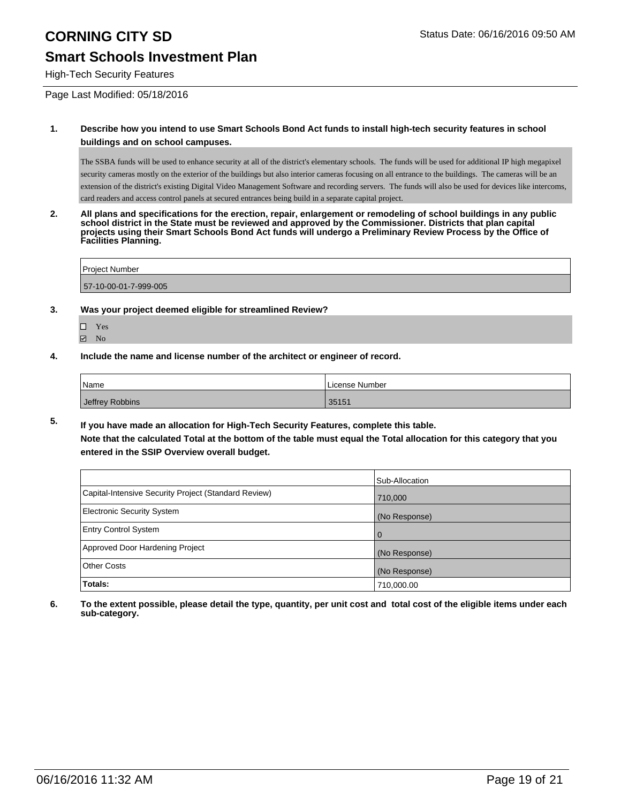## **Smart Schools Investment Plan**

High-Tech Security Features

Page Last Modified: 05/18/2016

### **1. Describe how you intend to use Smart Schools Bond Act funds to install high-tech security features in school buildings and on school campuses.**

The SSBA funds will be used to enhance security at all of the district's elementary schools. The funds will be used for additional IP high megapixel security cameras mostly on the exterior of the buildings but also interior cameras focusing on all entrance to the buildings. The cameras will be an extension of the district's existing Digital Video Management Software and recording servers. The funds will also be used for devices like intercoms, card readers and access control panels at secured entrances being build in a separate capital project.

**2. All plans and specifications for the erection, repair, enlargement or remodeling of school buildings in any public school district in the State must be reviewed and approved by the Commissioner. Districts that plan capital projects using their Smart Schools Bond Act funds will undergo a Preliminary Review Process by the Office of Facilities Planning.** 

| <b>Project Number</b> |  |
|-----------------------|--|
| 57-10-00-01-7-999-005 |  |

### **3. Was your project deemed eligible for streamlined Review?**

- □ Yes **☑** No
- **4. Include the name and license number of the architect or engineer of record.**

| Name            | License Number |
|-----------------|----------------|
| Jeffrey Robbins | 35151          |

**5. If you have made an allocation for High-Tech Security Features, complete this table. Note that the calculated Total at the bottom of the table must equal the Total allocation for this category that you entered in the SSIP Overview overall budget.**

|                                                      | Sub-Allocation |
|------------------------------------------------------|----------------|
| Capital-Intensive Security Project (Standard Review) | 710,000        |
| <b>Electronic Security System</b>                    | (No Response)  |
| <b>Entry Control System</b>                          | $\Omega$       |
| Approved Door Hardening Project                      | (No Response)  |
| <b>Other Costs</b>                                   | (No Response)  |
| Totals:                                              | 710,000.00     |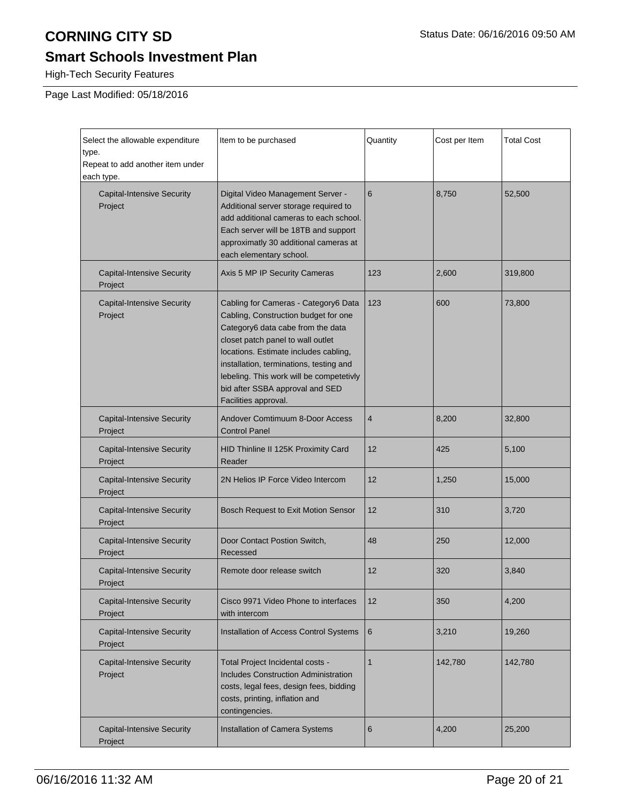# **Smart Schools Investment Plan**

High-Tech Security Features

Page Last Modified: 05/18/2016

| Select the allowable expenditure<br>type.<br>Repeat to add another item under<br>each type. | Item to be purchased                                                                                                                                                                                                                                                                                                                              | Quantity       | Cost per Item | <b>Total Cost</b> |
|---------------------------------------------------------------------------------------------|---------------------------------------------------------------------------------------------------------------------------------------------------------------------------------------------------------------------------------------------------------------------------------------------------------------------------------------------------|----------------|---------------|-------------------|
| <b>Capital-Intensive Security</b><br>Project                                                | Digital Video Management Server -<br>Additional server storage required to<br>add additional cameras to each school.<br>Each server will be 18TB and support<br>approximatly 30 additional cameras at<br>each elementary school.                                                                                                                  | 6              | 8,750         | 52,500            |
| <b>Capital-Intensive Security</b><br>Project                                                | Axis 5 MP IP Security Cameras                                                                                                                                                                                                                                                                                                                     | 123            | 2,600         | 319,800           |
| <b>Capital-Intensive Security</b><br>Project                                                | Cabling for Cameras - Category6 Data<br>Cabling, Construction budget for one<br>Category6 data cabe from the data<br>closet patch panel to wall outlet<br>locations. Estimate includes cabling,<br>installation, terminations, testing and<br>lebeling. This work will be competetivly<br>bid after SSBA approval and SED<br>Facilities approval. | 123            | 600           | 73,800            |
| <b>Capital-Intensive Security</b><br>Project                                                | Andover Comtimuum 8-Door Access<br><b>Control Panel</b>                                                                                                                                                                                                                                                                                           | $\overline{4}$ | 8,200         | 32,800            |
| <b>Capital-Intensive Security</b><br>Project                                                | HID Thinline II 125K Proximity Card<br>Reader                                                                                                                                                                                                                                                                                                     | 12             | 425           | 5,100             |
| <b>Capital-Intensive Security</b><br>Project                                                | 2N Helios IP Force Video Intercom                                                                                                                                                                                                                                                                                                                 | 12             | 1,250         | 15,000            |
| <b>Capital-Intensive Security</b><br>Project                                                | Bosch Request to Exit Motion Sensor                                                                                                                                                                                                                                                                                                               | 12             | 310           | 3,720             |
| <b>Capital-Intensive Security</b><br>Project                                                | Door Contact Postion Switch,<br>Recessed                                                                                                                                                                                                                                                                                                          | 48             | 250           | 12,000            |
| <b>Capital-Intensive Security</b><br>Project                                                | Remote door release switch                                                                                                                                                                                                                                                                                                                        | 12             | 320           | 3,840             |
| <b>Capital-Intensive Security</b><br>Project                                                | Cisco 9971 Video Phone to interfaces<br>with intercom                                                                                                                                                                                                                                                                                             | 12             | 350           | 4,200             |
| <b>Capital-Intensive Security</b><br>Project                                                | Installation of Access Control Systems                                                                                                                                                                                                                                                                                                            | 6              | 3,210         | 19,260            |
| <b>Capital-Intensive Security</b><br>Project                                                | Total Project Incidental costs -<br><b>Includes Construction Administration</b><br>costs, legal fees, design fees, bidding<br>costs, printing, inflation and<br>contingencies.                                                                                                                                                                    | 1              | 142,780       | 142,780           |
| <b>Capital-Intensive Security</b><br>Project                                                | Installation of Camera Systems                                                                                                                                                                                                                                                                                                                    | 6              | 4,200         | 25,200            |